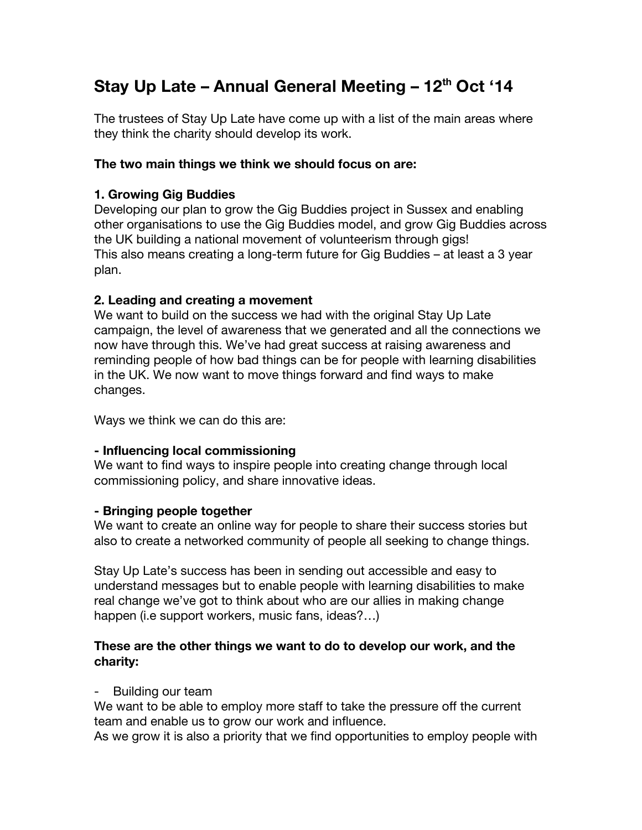# **Stay Up Late – Annual General Meeting – 12th Oct '14**

The trustees of Stay Up Late have come up with a list of the main areas where they think the charity should develop its work.

## **The two main things we think we should focus on are:**

## **1. Growing Gig Buddies**

Developing our plan to grow the Gig Buddies project in Sussex and enabling other organisations to use the Gig Buddies model, and grow Gig Buddies across the UK building a national movement of volunteerism through gigs! This also means creating a long-term future for Gig Buddies – at least a 3 year plan.

## **2. Leading and creating a movement**

We want to build on the success we had with the original Stay Up Late campaign, the level of awareness that we generated and all the connections we now have through this. We've had great success at raising awareness and reminding people of how bad things can be for people with learning disabilities in the UK. We now want to move things forward and find ways to make changes.

Ways we think we can do this are:

#### **- Influencing local commissioning**

We want to find ways to inspire people into creating change through local commissioning policy, and share innovative ideas.

#### **- Bringing people together**

We want to create an online way for people to share their success stories but also to create a networked community of people all seeking to change things.

Stay Up Late's success has been in sending out accessible and easy to understand messages but to enable people with learning disabilities to make real change we've got to think about who are our allies in making change happen (i.e support workers, music fans, ideas?…)

## **These are the other things we want to do to develop our work, and the charity:**

#### Building our team

We want to be able to employ more staff to take the pressure off the current team and enable us to grow our work and influence.

As we grow it is also a priority that we find opportunities to employ people with